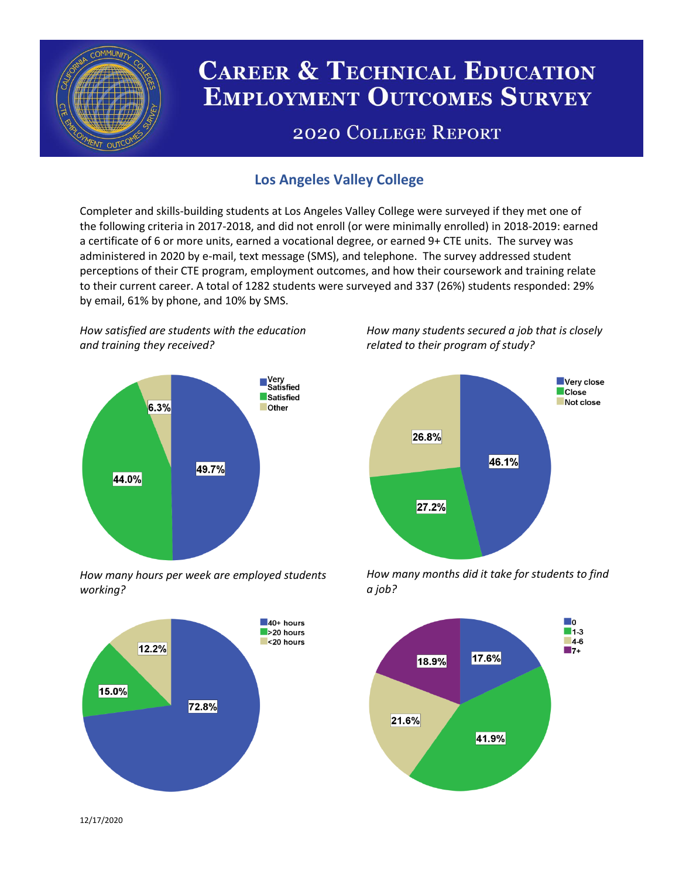

# **CAREER & TECHNICAL EDUCATION EMPLOYMENT OUTCOMES SURVEY**

## **2020 COLLEGE REPORT**

### **Los Angeles Valley College**

Completer and skills-building students at Los Angeles Valley College were surveyed if they met one of the following criteria in 2017-2018, and did not enroll (or were minimally enrolled) in 2018-2019: earned a certificate of 6 or more units, earned a vocational degree, or earned 9+ CTE units. The survey was administered in 2020 by e-mail, text message (SMS), and telephone. The survey addressed student perceptions of their CTE program, employment outcomes, and how their coursework and training relate to their current career. A total of 1282 students were surveyed and 337 (26%) students responded: 29% by email, 61% by phone, and 10% by SMS.

*How satisfied are students with the education and training they received?*



*How many hours per week are employed students working?*



*How many students secured a job that is closely related to their program of study?*



*How many months did it take for students to find a job?*



12/17/2020